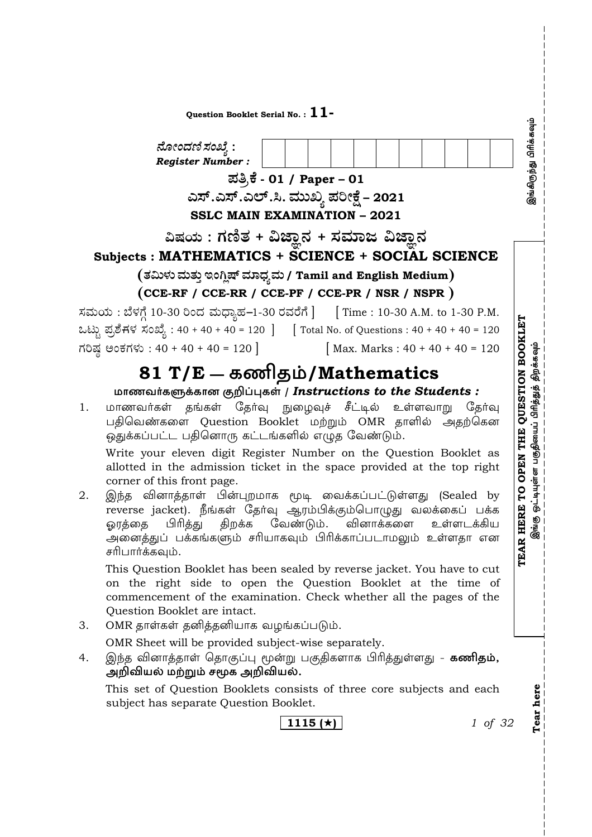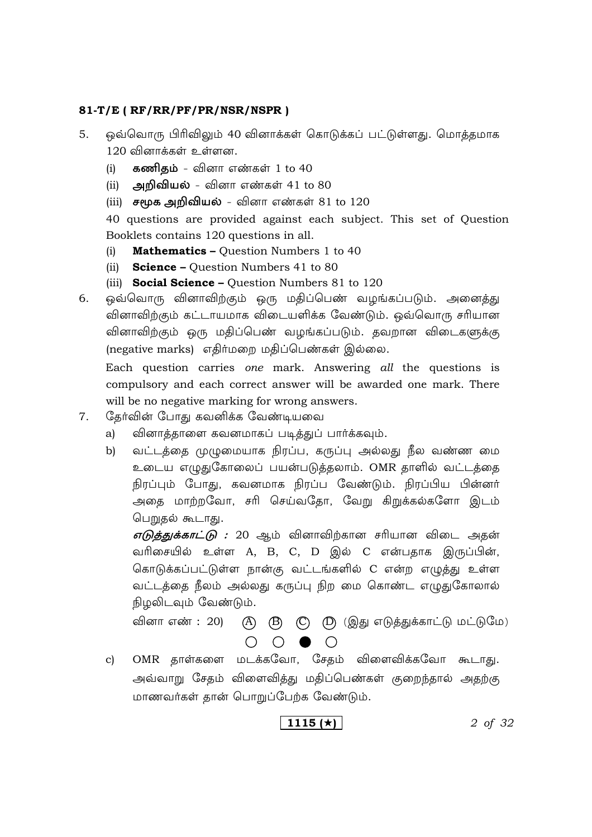- 5. ஒவ்வொரு பிரிவிலும் 40 வினாக்கள் கொடுக்கப் பட்டுள்ளது. மொத்தமாக  $120$  வினாக்கள் உள்ளன.
	- (i) **கணிதம்** வினா எண்கள் 1 to 40
	- (ii) அ**றிவியல்** வினா எண்கள் 41 to 80
	- (iii) சமூக அறிவியல் வினா எண்கள் 81 to 120

40 questions are provided against each subject. This set of Question Booklets contains 120 questions in all.

- (i) **Mathematics –** Question Numbers 1 to 40
- (ii) **Science –** Question Numbers 41 to 80
- (iii) **Social Science –** Question Numbers 81 to 120

6. ஒவ்வொரு வினாவிற்கும் ஒரு மதிப்பெண் வழங்கப்படும். அனைத்து வினாவிற்கும் கட்டாயமாக விடையளிக்க வேண்டும். ஒவ்வொரு சரியான வினாவிற்கும் ஒரு மதிப்பெண் வழங்கப்படும். தவறான விடைகளுக்கு (negative marks) எதிர்மறை மதிப்பெண்கள் இல்லை.

 Each question carries *one* mark. Answering *all* the questions is compulsory and each correct answer will be awarded one mark. There will be no negative marking for wrong answers.

- 7. மேதர்வின் போது கவனிக்க வேண்டியவை
	- a) வினாத்தாளை கவனமாகப் படித்துப் பார்க்கவும்.
	- b) வட்டத்தை முழுமையாக நிரப்ப, கருப்பு அல்லது நீல வண்ண மை உடைய எழுதுகோலைப் பயன்படுத்தலாம். OMR தாளில் வட்டத்தை நிரப்பும் போது, கவனமாக நிரப்ப வேண்டும். நிரப்பிய பின்னர் அதை மாற்றவோ, சரி செய்வதோ, வேறு கிறுக்கல்களோ இடம் பெறுதல் கூடாது.

 $\sigma$ டுத்துக்காட்டு : 20 ஆம் வினாவிற்கான சரியான விடை அதன் வரிசையில் உள்ள A, B, C, D இல் C என்பதாக இருப்பின், கொடுக்கப்பட்டுள்ள நான்கு வட்டங்களில் C என்ற எழுத்து உள்ள வட்டத்தை நீலம் அல்லது கருப்பு நிற மை கொண்ட எழுதுகோலால் நிழலிடவும் வேண்டும்.

வினா எண் : 20)  $(A)$   $(B)$   $(C)$   $(D)$  (இது எடுத்துக்காட்டு மட்டுமே)  $\bigcap_{i=1}^n A_i$ 

c) OMR தாள்களை மடக்கவோ, சேதம் விளைவிக்கவோ கூடாது. அவ்வாறு சேதம் விளைவித்து மதிப்பெண்கள் குறைந்தால் அதற்கு மாணவர்கள் கான் பொறுப்பேற்க வேண்டும்.

$$
1115 \left(\star\right)
$$

**1115 ()** *2 of 32*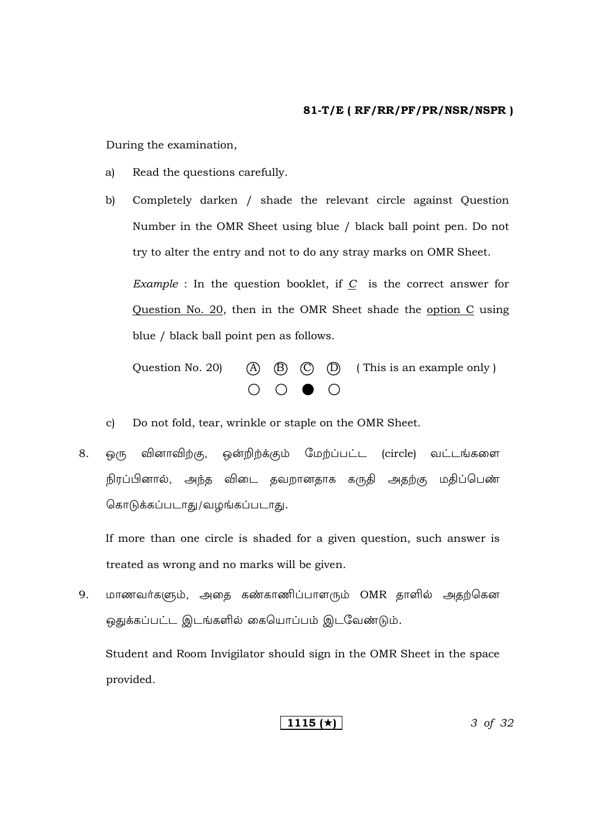During the examination,

- Read the questions carefully. a)
- Completely darken / shade the relevant circle against Question  $\mathbf{b}$ Number in the OMR Sheet using blue / black ball point pen. Do not try to alter the entry and not to do any stray marks on OMR Sheet.

*Example* : In the question booklet, if  $C$  is the correct answer for Question No. 20, then in the OMR Sheet shade the option C using blue / black ball point pen as follows.

 $(B)$   $(C)$   $(D)$  (This is an example only) Question No. 20)  $(A)$  $\bigcap$  $\bullet$   $\circ$ 

- Do not fold, tear, wrinkle or staple on the OMR Sheet.  $\mathbf{c}$
- வினாவிற்கு, ஒன்றிற்க்கும் மேற்ப்பட்ட (circle) வட்டங்களை 8. <u>ெ</u>(ந நிரப்பினால், அந்த விடை தவறானதாக கருதி அதற்கு மதிப்பெண் கொடுக்கப்படாது/வழங்கப்படாது.

If more than one circle is shaded for a given question, such answer is treated as wrong and no marks will be given.

மாணவர்களும், அதை கண்காணிப்பாளரும் OMR தாளில் அதற்கென 9. ஒதுக்கப்பட்ட இடங்களில் கையொப்பம் இடவேண்டும்.

Student and Room Invigilator should sign in the OMR Sheet in the space provided.

$$
\boxed{1115 \; (*)}
$$
3 of 32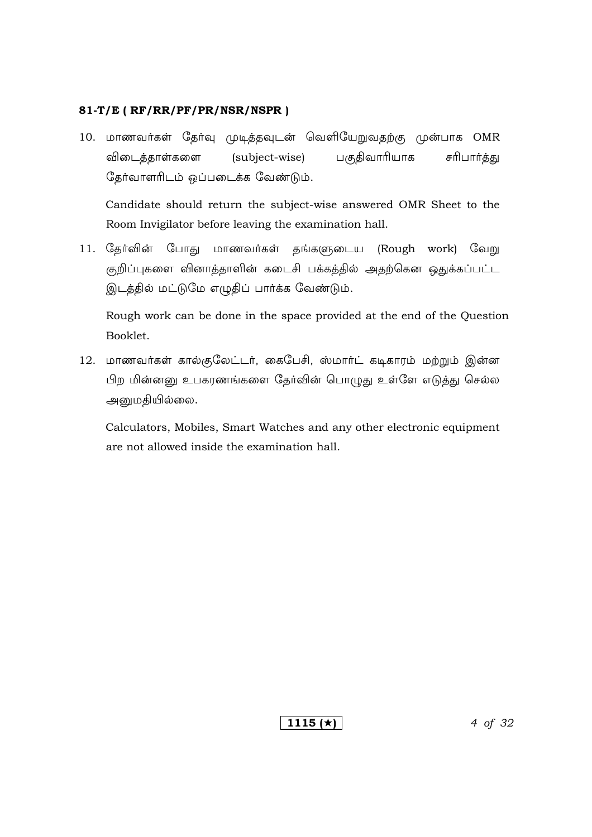10. மாணவர்கள் தேர்வு முடித்தவுடன் வெளியேறுவதற்கு முன்பாக OMR விடைத்தாள்களை (subject-wise) பகுதிவாரியாக சரிபார்த்து தேர்வாளரிடம் ஒப்படைக்க வேண்டும்.

Candidate should return the subject-wise answered OMR Sheet to the Room Invigilator before leaving the examination hall.

11. தேர்வின் போது மாணவர்கள் தங்களுடைய (Rough work) வேறு குறிப்புகளை வினாத்தாளின் கடைசி பக்கத்தில் அதற்கென ஒதுக்கப்பட்ட இடத்தில் மட்டுமே எழுதிப் பார்க்க வேண்டும்.

Rough work can be done in the space provided at the end of the Question Booklet.

12. மாணவர்கள் கால்குலேட்டர், கைபேசி, ஸ்மார்ட் கடிகாரம் மற்றும் இன்ன பிற மின்னனு உபகரணங்களை தேர்வின் பொழுது உள்ளே எடுத்து செல்ல அனுமதியில்லை.

Calculators, Mobiles, Smart Watches and any other electronic equipment are not allowed inside the examination hall.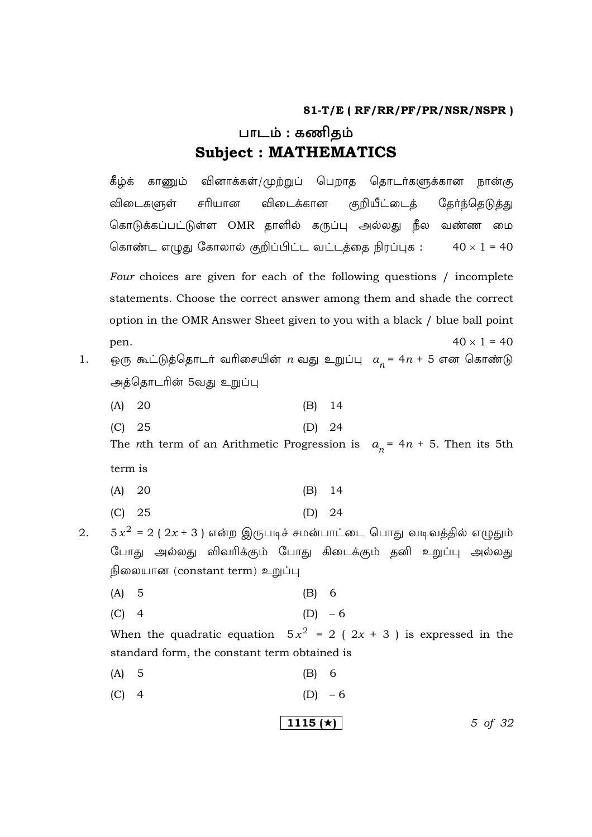# பாடம் : கணிதம் **Subject: MATHEMATICS**

கீழ்க் காணும் வினாக்கள்/முற்றுப் பெறாத தொடர்களுக்கான நான்கு விடைகளுள் சரியான விடைக்கான குறியீட்டைத் தேர்ந்தெடுத்து கொடுக்கப்பட்டுள்ள OMR தாளில் கருப்பு அல்லது நீல வண்ண மை கொண்ட எழுது கோலால் குறிப்பிட்ட வட்டத்தை நிரப்புக :  $40 \times 1 = 40$ Four choices are given for each of the following questions / incomplete statements. Choose the correct answer among them and shade the correct option in the OMR Answer Sheet given to you with a black / blue ball point  $40 \times 1 = 40$ pen. ஒரு கூட்டுத்தொடர் வரிசையின்  $n$  வது உறுப்பு  $a_n = 4n + 5$  என கொண்டு அத்தொடரின் 5வது உறுப்பு  $(A) 20$  $(B)$  14  $(C) 25$  $(D)$  24 The *n*th term of an Arithmetic Progression is  $a_n = 4n + 5$ . Then its 5th term is  $(B)$  14  $(A) 20$  $(C)$  25  $(D)$  24  $5x^{2} = 2(2x + 3)$  என்ற இருபடிச் சமன்பாட்டை பொது வடிவத்தில் எழுதும் போது அல்லது விவரிக்கும் போது கிடைக்கும் தனி உறுப்பு அல்லது நிலையான (constant term) உறுப்பு  $(A)$  5  $(B)$  6  $(D) - 6$  $(C)$  4 When the quadratic equation  $5x^2 = 2(2x + 3)$  is expressed in the standard form, the constant term obtained is  $(A) 5$  $(B)$  6  $(C)$  4  $(D) - 6$ 

1115 ( $\star$ )

5 of 32

1.

2.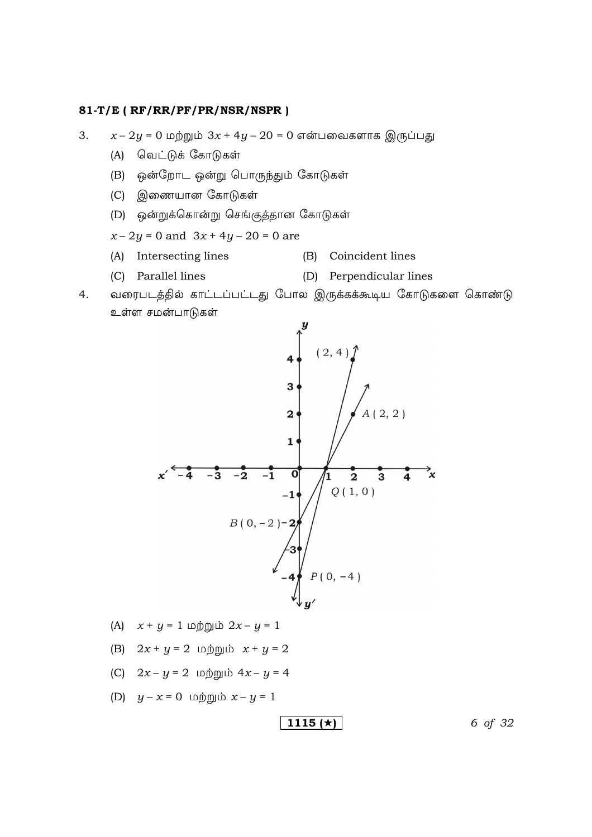$x - 2y = 0$  மற்றும்  $3x + 4y - 20 = 0$  என்பவைகளாக இருப்பது 3.

- (A) வெட்டுக் கோடுகள்
- (B) ஒன்றோட ஒன்று பொருந்தும் கோடுகள்
- (C) இணையான கோடுகள்
- (D) ஒன்றுக்கொன்று செங்குத்தான கோடுகள்

$$
x - 2y = 0
$$
 and  $3x + 4y - 20 = 0$  are

- (A) Intersecting lines (B) Coincident lines
- (C) Parallel lines (D) Perpendicular lines
- $4.$ வரைபடத்தில் காட்டப்பட்டது போல இருக்கக்கூடிய கோடுகளை கொண்டு உள்ள சமன்பாடுகள்



- (A)  $x + y = 1$  மற்றும்  $2x y = 1$
- (B)  $2x + y = 2$  மற்றும்  $x + y = 2$
- (C)  $2x y = 2$  மற்றும்  $4x y = 4$
- (D)  $y x = 0$  மற்றும்  $x y = 1$

$$
1115 \, (\star)
$$

6 of 32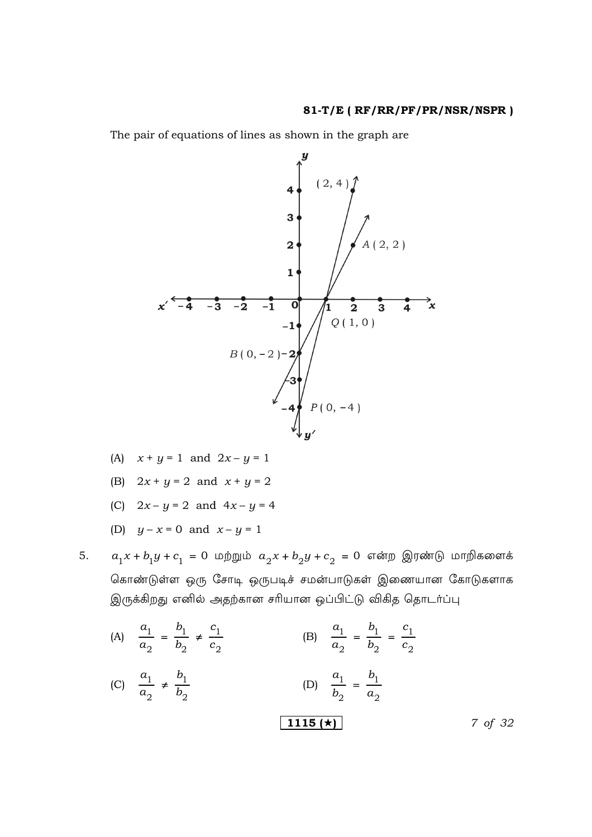The pair of equations of lines as shown in the graph are



- (A)  $x + y = 1$  and  $2x y = 1$
- (B)  $2x + y = 2$  and  $x + y = 2$
- (C)  $2x y = 2$  and  $4x y = 4$
- (D)  $y x = 0$  and  $x y = 1$

5.

- $a_1x + b_1y + c_1 = 0$  மற்றும்  $a_2x + b_2y + c_2 = 0$  என்ற இரண்டு மாறிகளைக் கொண்டுள்ள ஒரு சோடி ஒருபடிச் சமன்பாடுகள் இணையான கோடுகளாக இருக்கிறது எனில் அதற்கான சரியான ஒப்பிட்டு விகித தொடர்ப்பு
- (B)  $\frac{a_1}{a_2} = \frac{b_1}{b_2} = \frac{c_1}{c_2}$ (A)  $\frac{a_1}{a_2} = \frac{b_1}{b_2} \neq \frac{c_1}{c_2}$ (C)  $\frac{a_1}{a_2} \neq \frac{b_1}{b_2}$ (D)  $\frac{a_1}{b_2} = \frac{b_1}{a_2}$  $\boxed{1115}(\star)$ 7 of 32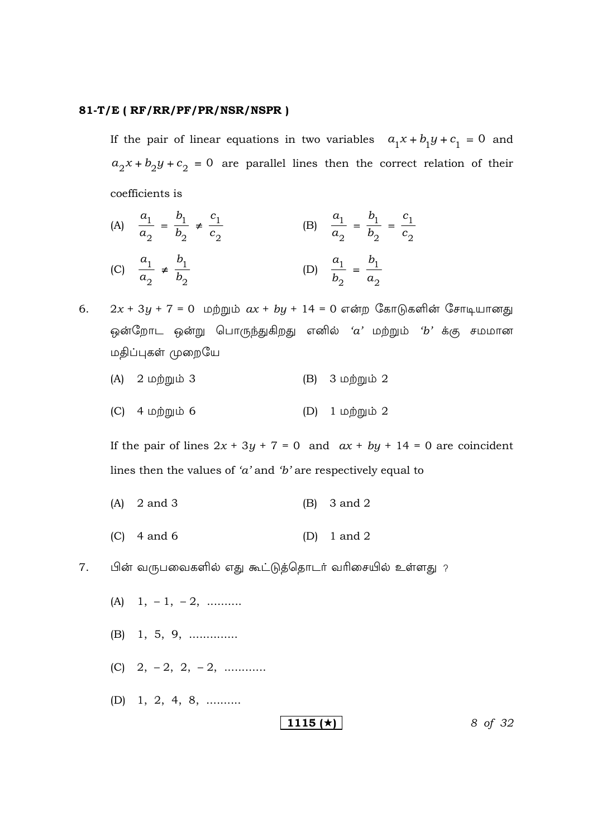If the pair of linear equations in two variables  $a_1x + b_1y + c_1 = 0$  and  $a_2x + b_2y + c_2 = 0$  are parallel lines then the correct relation of their coefficients is

- (A)  $\frac{a_1}{a_2} = \frac{b_1}{b_2} \neq \frac{c_1}{c_2}$ (B)  $\frac{a_1}{a_2} = \frac{b_1}{b_2} = \frac{c_1}{c_2}$ (C)  $\frac{a_1}{a_2} \neq \frac{b_1}{b_2}$ (D)  $\frac{a_1}{b_2} = \frac{b_1}{a_2}$
- $2x + 3y + 7 = 0$  மற்றும்  $ax + by + 14 = 0$  என்ற கோடுகளின் சோடியானது 6. ஒன்றோட ஒன்று பொருந்துகிறது எனில் ' $a$ ' மற்றும் ' $b$ ' க்கு சமமான மதிப்புகள் முறையே
	- $(A)$   $2 \nleftrightarrow 3$  $(B)$  3 மற்றும் 2
	- $(C)$  4 மற்றும் 6 (D)  $1 \nleftrightarrow 2$

If the pair of lines  $2x + 3y + 7 = 0$  and  $ax + by + 14 = 0$  are coincident lines then the values of 'a' and 'b' are respectively equal to

- $(A)$ 2 and 3  $(B)$  3 and 2
- $(C)$  4 and 6  $(D)$  $1$  and  $2$
- 7. பின் வருபவைகளில் எது கூட்டுத்தொடர் வரிசையில் உள்ளது ?
	- (A)  $1, -1, -2, \dots$
	- $(B)$  1, 5, 9, .............
	- (C)  $2, -2, 2, -2, \ldots$
	- (D) 1, 2, 4, 8, .........

1115 ( $\star$ )

8 of 32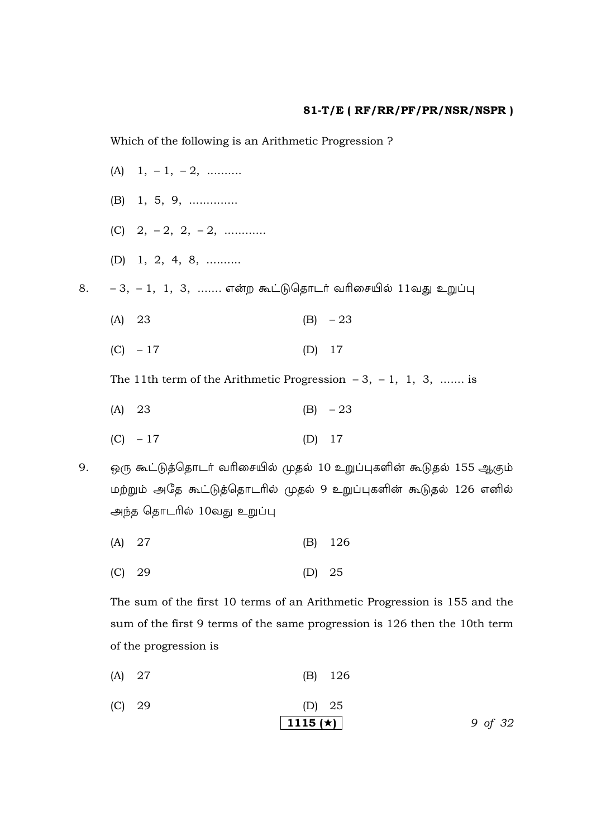Which of the following is an Arithmetic Progression?

(A)  $1, -1, -2, \dots$  $(B)$  1, 5, 9, .............. (C)  $2, -2, 2, -2, \ldots$ (D) 1, 2, 4, 8, ..........  $-3, -1, 1, 3, ...$  என்ற கூட்டுதொடர் வரிசையில் 11வது உறுப்பு  $(A)$  23  $(B) -23$  $(C) - 17$  $(D)$  17 The 11th term of the Arithmetic Progression  $-3$ ,  $-1$ , 1, 3, ....... is  $(B) - 23$  $(A)$  23  $(C) - 17$  $(D)$  17 ஒரு கூட்டுத்தொடர் வரிசையில் முதல் 10 உறுப்புகளின் கூடுதல் 155 ஆகும் மற்றும் அதே கூட்டுத்தொடரில் முதல் 9 உறுப்புகளின் கூடுதல் 126 எனில் அந்த தொடரில் 10வது உறுப்பு

 $(A) 27$ 126  $(B)$ 

8.

9.

 $(C) 29$  $(D) 25$ 

The sum of the first 10 terms of an Arithmetic Progression is 155 and the sum of the first 9 terms of the same progression is 126 then the 10th term of the progression is

 $(A)$  27  $(B)$ 126

(C) 29  
(D) 25  
1115 (
$$
\star
$$
)  
9 of 32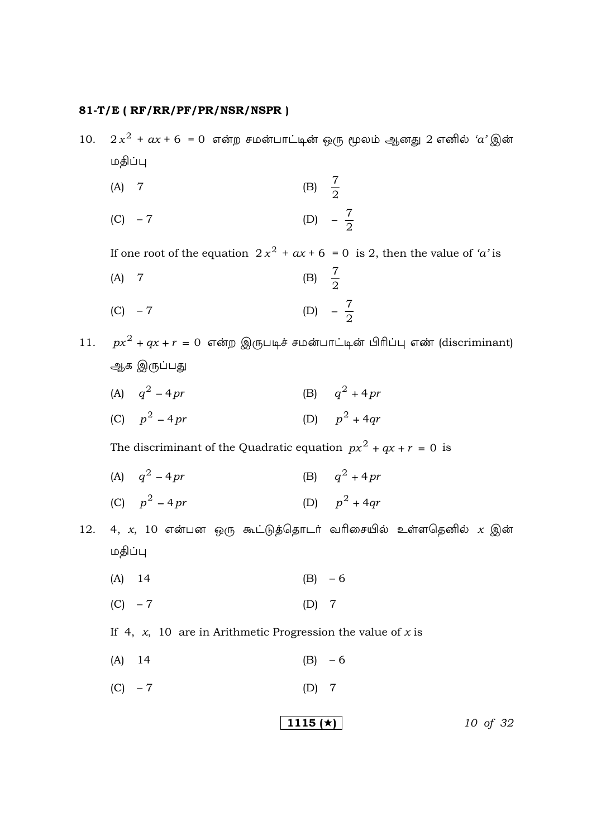$2x^2 + ax + 6 = 0$  என்ற சமன்பாட்டின் ஒரு மூலம் ஆனது 2 எனில் ' $a$ ' இன்  $10.$ மதிப்பு

$$
(A) 7 \t\t (B)  $\frac{7}{2}$
$$

(C) 
$$
-7
$$
 (D)  $-\frac{7}{2}$ 

If one root of the equation  $2x^2 + ax + 6 = 0$  is 2, then the value of 'a' is

(A) 7 (B) 
$$
\frac{7}{2}
$$

(C) 
$$
-7
$$
 (D)  $-\frac{7}{2}$ 

11.  $px^2 + qx + r = 0$  என்ற இருபடிச் சமன்பாட்டின் பிரிப்பு எண் (discriminant) ஆக இருப்பது

- (B)  $q^2 + 4pr$ (A)  $q^2 - 4pr$
- (D)  $p^2 + 4qr$ (C)  $p^2 - 4pr$

The discriminant of the Quadratic equation  $px^2 + qx + r = 0$  is

- (A)  $q^2 4pr$ (B)  $q^2 + 4pr$
- (D)  $p^2 + 4qr$ (C)  $p^2 - 4pr$
- 4, x, 10 என்பன ஒரு கூட்டுத்தொடர் வரிசையில் உள்ளதெனில் x இன் 12. மதிப்பு
	- $(B) 6$  $(A)$  14
	- $(C) 7$  $(D)$  7

If 4,  $x$ , 10 are in Arithmetic Progression the value of x is

- $(A)$  14  $(B) - 6$
- $(C) 7$  $(D)$  7

$$
1115 \; (*) \qquad \qquad 10 \; \text{of} \; 32
$$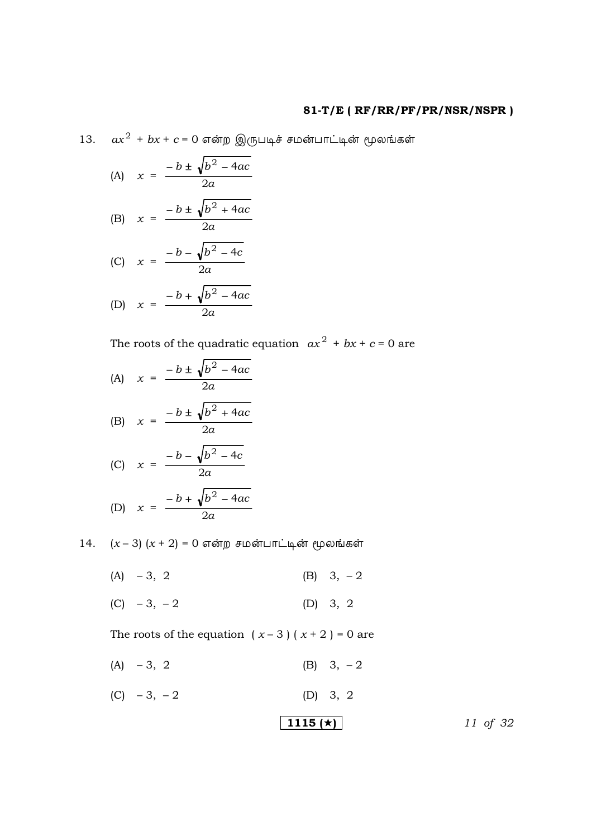13.  $ax^2 + bx + c = 0$  என்ற இருபடிச் சமன்பாட்டின் மூலங்கள்

(A) 
$$
x = \frac{-b \pm \sqrt{b^2 - 4ac}}{2a}
$$

$$
(B) \quad x = \frac{-b \pm \sqrt{b^2 + 4ac}}{2a}
$$

$$
(C) \quad x = \frac{-b - \sqrt{b^2 - 4c}}{2a}
$$

$$
(D) \quad x = \frac{-b + \sqrt{b^2 - 4ac}}{2a}
$$

The roots of the quadratic equation  $ax^2 + bx + c = 0$  are

(A) 
$$
x = \frac{-b \pm \sqrt{b^2 - 4ac}}{2a}
$$
  
\n(B)  $x = \frac{-b \pm \sqrt{b^2 + 4ac}}{2a}$ 

$$
(C) \quad x = \frac{-b - \sqrt{b^2 - 4c}}{2a}
$$

(D) 
$$
x = \frac{-b + \sqrt{b^2 - 4ac}}{2a}
$$

14.  $(x-3)(x+2) = 0$  என்ற சமன்பாட்டின் மூலங்கள்

(A)  $-3, 2$ (B)  $3, -2$ 

(C) 
$$
-3, -2
$$
 (D) 3, 2

The roots of the equation  $(x-3)(x+2) = 0$  are

- $(A) -3, 2$ (B)  $3, -2$
- (C)  $-3, -2$ (D) 3, 2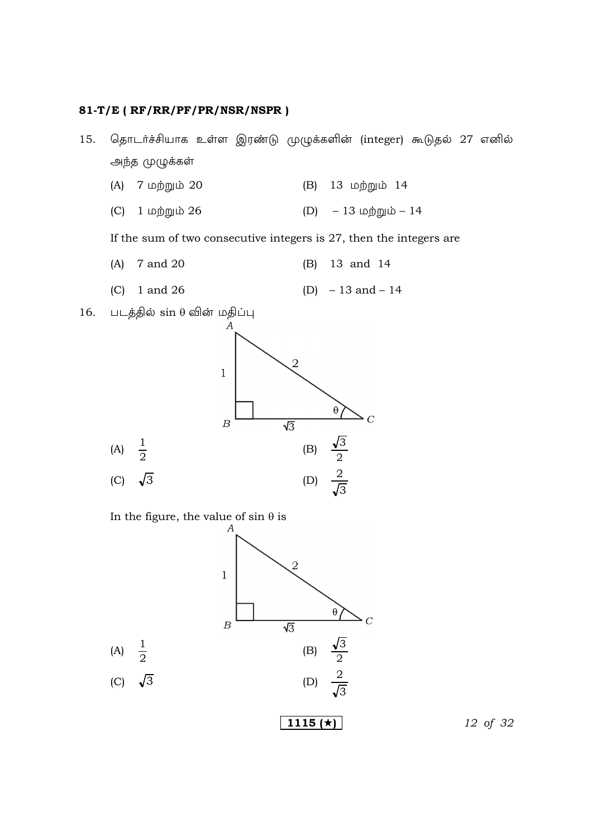- தொடர்ச்சியாக உள்ள இரண்டு முழுக்களின் (integer) கூடுதல் 27 எனில் 15. அந்த முழுக்கள்
	- 7 மற்றும் 20 13 மற்றும் 14  $(A)$  $(B)$
	- $-13$  மற்றும்  $14$ 1 மற்றும் 26  $(D)$  $(C)$

If the sum of two consecutive integers is 27, then the integers are

- 7 and 20 13 and 14  $(A)$  $(B)$
- 1 and 26 (D)  $-13$  and  $-14$  $(C)$
- படத்தில் sin θ வின் மதிப்பு 16.



In the figure, the value of  $\sin \theta$  is



12 of 32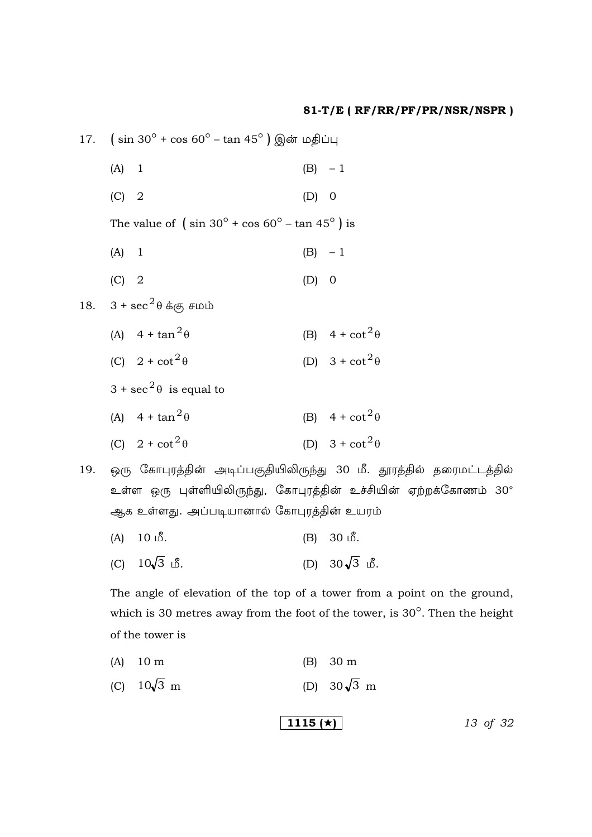|     | 17. $(\sin 30^{\circ} + \cos 60^{\circ} - \tan 45^{\circ})$ இன் மதிப்பு |                                                                   |         |                                                                     |  |  |
|-----|-------------------------------------------------------------------------|-------------------------------------------------------------------|---------|---------------------------------------------------------------------|--|--|
|     | $(A)$ 1                                                                 |                                                                   |         | $(B) - 1$                                                           |  |  |
|     | $(C)$ 2                                                                 |                                                                   | $(D)$ 0 |                                                                     |  |  |
|     |                                                                         | The value of $(\sin 30^\circ + \cos 60^\circ - \tan 45^\circ)$ is |         |                                                                     |  |  |
|     | $(A)$ 1                                                                 |                                                                   |         | $(B) - 1$                                                           |  |  |
|     | $(C)$ 2                                                                 |                                                                   | $(D)$ 0 |                                                                     |  |  |
| 18. |                                                                         | $3 + \sec^2\theta \dot{\mathbf{\Phi}}$ கு சமம்                    |         |                                                                     |  |  |
|     |                                                                         | (A) $4 + \tan^2 \theta$                                           |         | (B) $4 + \cot^2 \theta$                                             |  |  |
|     |                                                                         | (C) $2 + \cot^2 \theta$                                           |         | (D) $3 + \cot^2 \theta$                                             |  |  |
|     |                                                                         | $3 + \sec^2 \theta$ is equal to                                   |         |                                                                     |  |  |
|     |                                                                         | (A) $4 + \tan^2 \theta$                                           |         | (B) $4 + \cot^2 \theta$                                             |  |  |
|     |                                                                         | (C) $2 + \cot^2 \theta$                                           |         | (D) $3 + \cot^2 \theta$                                             |  |  |
| 19. |                                                                         |                                                                   |         | ஒரு கோபுரத்தின் அடிப்பகுதியிலிருந்து 30 மீ. தூரத்தில் தரைமட்டத்தில் |  |  |
|     |                                                                         |                                                                   |         | உள்ள ஒரு புள்ளியிலிருந்து, கோபுரத்தின் உச்சியின் ஏற்றக்கோணம் 30°    |  |  |

ஆக உள்ளது. அப்படியானால் கோபுரத்தின் உயரம்

- $(B) 30 \text{ L}^2$ .  $(A)$  10  $\mathbb{S}$ .
- (D)  $30\sqrt{3}$  is. (C)  $10\sqrt{3}$  மீ.

The angle of elevation of the top of a tower from a point on the ground, which is 30 metres away from the foot of the tower, is  $30^{\circ}$ . Then the height of the tower is

- $(A)$  10 m  $(B) 30 m$
- (D)  $30\sqrt{3}$  m (C)  $10\sqrt{3}$  m

$$
1115 \, (*) \qquad \qquad 13 \text{ of } 32
$$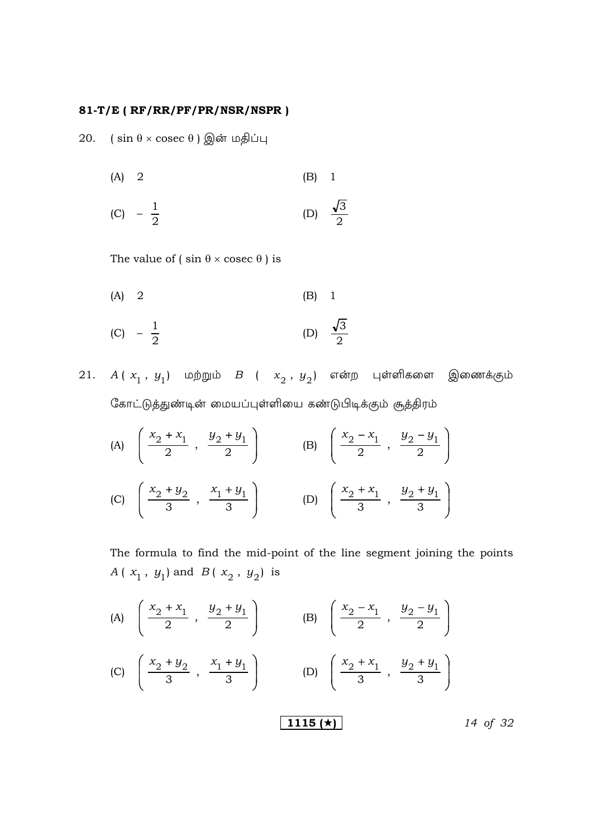20.  $(\sin \theta \times \csc \theta)$  இன் மதிப்பு

$$
(A) 2 \t\t (B) 1
$$

(C) 
$$
-\frac{1}{2}
$$
 (D)  $\frac{\sqrt{3}}{2}$ 

The value of  $(\sin \theta \times \csc \theta)$  is

$$
(A) 2 \t\t (B) 1
$$

(C) 
$$
-\frac{1}{2}
$$
 (D)  $\frac{\sqrt{3}}{2}$ 

 $21.$   $A(x_1, y_1)$  மற்றும்  $B$  (  $x_2, y_2$ ) என்ற புள்ளிகளை இணைக்கும் கோட்டுத்துண்டின் மையப்புள்ளியை கண்டுபிடிக்கும் சூத்திரம்

(A) 
$$
\left(\frac{x_2 + x_1}{2}, \frac{y_2 + y_1}{2}\right)
$$
 (B)  $\left(\frac{x_2 - x_1}{2}, \frac{y_2 - y_1}{2}\right)$   
(C)  $\left(\frac{x_2 + y_2}{3}, \frac{x_1 + y_1}{3}\right)$  (D)  $\left(\frac{x_2 + x_1}{3}, \frac{y_2 + y_1}{3}\right)$ 

The formula to find the mid-point of the line segment joining the points  $A(x_1, y_1)$  and  $B(x_2, y_2)$  is

(A) 
$$
\left(\frac{x_2 + x_1}{2}, \frac{y_2 + y_1}{2}\right)
$$
 (B)  $\left(\frac{x_2 - x_1}{2}, \frac{y_2 - y_1}{2}\right)$   
\n(C)  $\left(\frac{x_2 + y_2}{3}, \frac{x_1 + y_1}{3}\right)$  (D)  $\left(\frac{x_2 + x_1}{3}, \frac{y_2 + y_1}{3}\right)$  (E)  $\left(\frac{1115 \cancel{(x)}}{3}\right)$  (E)  $\left(\frac{1115 \cancel{(x)}}{3}\right)$  (E)  $\left(\frac{1115 \cancel{(x)}}{3}\right)$  (E)  $\left(\frac{1115 \cancel{(x)}}{3}\right)$  (E)  $\left(\frac{1115 \cancel{(x)}}{3}\right)$  (E)  $\left(\frac{1115 \cancel{(x)}}{3}\right)$  (E)  $\left(\frac{1115 \cancel{(x)}}{3}\right)$  (E)  $\left(\frac{1115 \cancel{(x)}}{3}\right)$  (E)  $\left(\frac{1115 \cancel{(x)}}{3}\right)$  (E)  $\left(\frac{1115 \cancel{(x)}}{3}\right)$  (E)  $\left(\frac{1115 \cancel{(x)}}{3}\right)$  (E)  $\left(\frac{1115 \cancel{(x)}}{3}\right)$  (E)  $\left(\frac{1115 \cancel{(x)}}{3}\right)$  (E)  $\left(\frac{1115 \cancel{(x)}}{3}\right)$  (E)  $\left(\frac{1115 \cancel{(x)}}{3}\right)$  (E)  $\left(\frac{1115 \cancel{(x)}}{3}\right)$  (E)  $\left(\frac{1115 \cancel{(x)}}{3}\right)$  (E)  $\left(\frac{1115 \cancel{(x)}}{3}\right)$  (E)  $\left(\frac{1115 \cancel{(x)}}{3}\right)$  (E)  $\left(\frac{1115 \cancel{(x)}}{3}\right)$  (E)  $\left(\frac{1115 \cancel{(x)}}{3}\right)$  (E)  $\left(\frac{1115 \cancel{(x)}}{3}\right)$  (E)  $\left(\frac{1115 \cancel{(x)}}{3}\right)$  (E)  $\left(\frac{1115 \cancel{(x)}}{3}\right$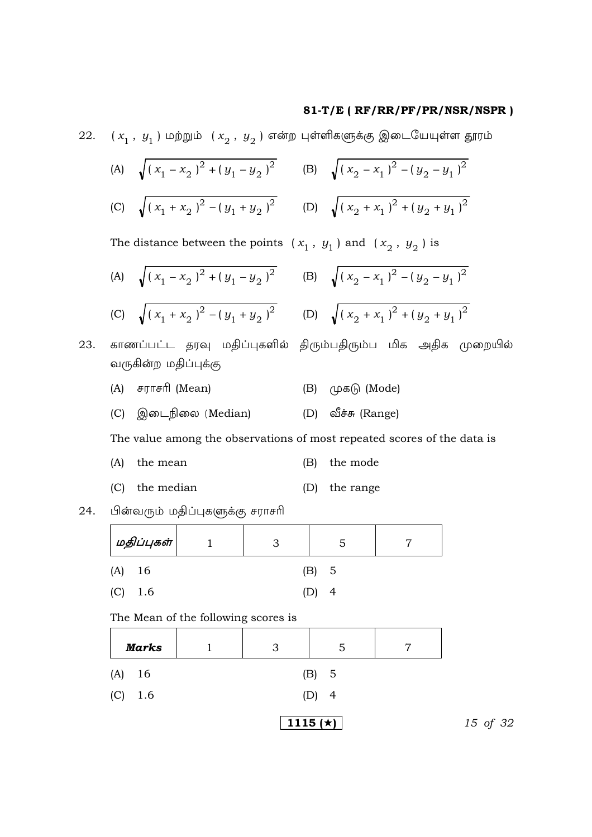22.  $(x_1, y_1)$  மற்றும்  $(x_2, y_2)$  என்ற புள்ளிகளுக்கு இடையேயுள்ள தூரம்

(A) 
$$
\sqrt{(x_1 - x_2)^2 + (y_1 - y_2)^2}
$$
 (B)  $\sqrt{(x_2 - x_1)^2 - (y_2 - y_1)^2}$   
\n(C)  $\sqrt{(x_1 + x_2)^2 - (y_1 + y_2)^2}$  (D)  $\sqrt{(x_2 + x_1)^2 + (y_2 + y_1)^2}$ 

The distance between the points  $(x_1, y_1)$  and  $(x_2, y_2)$  is

(A) 
$$
\sqrt{(x_1 - x_2)^2 + (y_1 - y_2)^2}
$$
 (B)  $\sqrt{(x_2 - x_1)^2 - (y_2 - y_1)^2}$   
\n(C)  $\sqrt{(x_1 + x_2)^2 - (y_1 + y_2)^2}$  (D)  $\sqrt{(x_2 + x_1)^2 + (y_2 + y_1)^2}$ 

23. காணப்பட்ட தரவு மதிப்புகளில் திரும்பதிரும்ப மிக அதிக முறையில் வருகின்ற மதிப்புக்கு

- (A) சராசரி (Mean) (В)  $(\mu \in \mathbb{R})$  (Mode)
- (C) இடைநிலை (Median) (D) வீச்சு (Range)

The value among the observations of most repeated scores of the data is

| $(A)$ the mean   | (B) the mode  |
|------------------|---------------|
| $(C)$ the median | (D) the range |

பின்வரும் மதிப்புகளுக்கு சராசரி 24.

| மதிப்புகள் |      |  | ה:    |  |
|------------|------|--|-------|--|
| (A)        | - 16 |  | (B) 5 |  |
| (C)        | 1.6  |  |       |  |

The Mean of the following scores is

| <b>Marks</b> |                       | 3 | 5                | − |  |
|--------------|-----------------------|---|------------------|---|--|
| (A)<br>- 16  | (B) 5                 |   |                  |   |  |
| (C)<br>1.6   | (D)<br>$\overline{4}$ |   |                  |   |  |
|              |                       |   | 1115 ( $\star$ ) |   |  |

15 of 32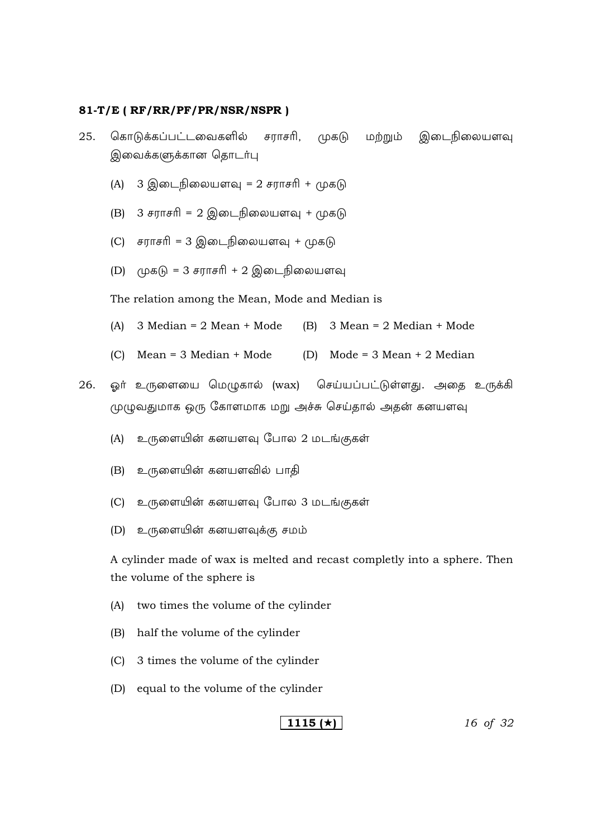- 25. கொடுக்கப்பட்டவைகளில் சராசரி, முகடு மற்றும் இடைநிலையளவு இவைக்களுக்கான தொடர்பு
	- (A)  $3 \textcircled{g}$ டைநிலையளவு = 2 சராசரி + முகடு
	- (B)  $3 \# \pi \# \# \ = 2 \circledR \# \# \# \# \# \# \# \# \# \# \# \#$
	- (C) சராசரி = 3 இடைநிலையளவு + முகடு
	- $(D)$  (முகடு = 3 சராசரி + 2 இடைநிலையளவு

The relation among the Mean, Mode and Median is

- (A)  $3 \text{ Median} = 2 \text{ Mean} + \text{Mode}$  (B)  $3 \text{ Mean} = 2 \text{ Median} + \text{Mode}$
- (C) Mean = 3 Median + Mode (D) Mode = 3 Mean + 2 Median
- 26. ஓர் உருளையை மெழுகால் (wax) செய்யப்பட்டுள்ளது. அதை உருக்கி முழுவதுமாக ஒரு கோளமாக மறு அச்சு செய்தால் அதன் கனயளவு
	- (A) உருளையின் கனயளவு போல 2 மடங்குகள்
	- (B) உருளையின் கனயளவில் பாதி
	- (C) உருளையின் கனயளவு போல 3 மடங்குகள்
	- $(D)$  உருளையின் கனயளவுக்கு சமம்

 A cylinder made of wax is melted and recast completly into a sphere. Then the volume of the sphere is

- (A) two times the volume of the cylinder
- (B) half the volume of the cylinder
- (C) 3 times the volume of the cylinder
- (D) equal to the volume of the cylinder

## **1115 ()** *16 of 32*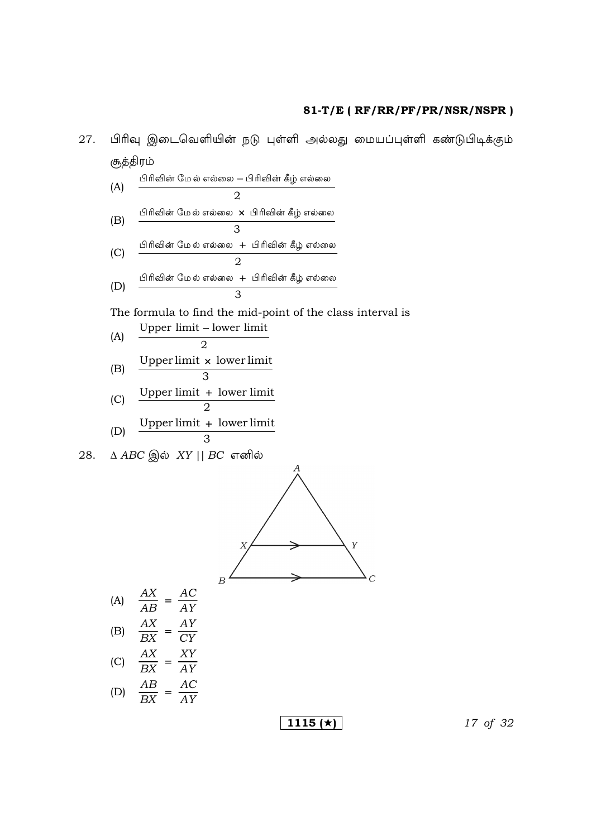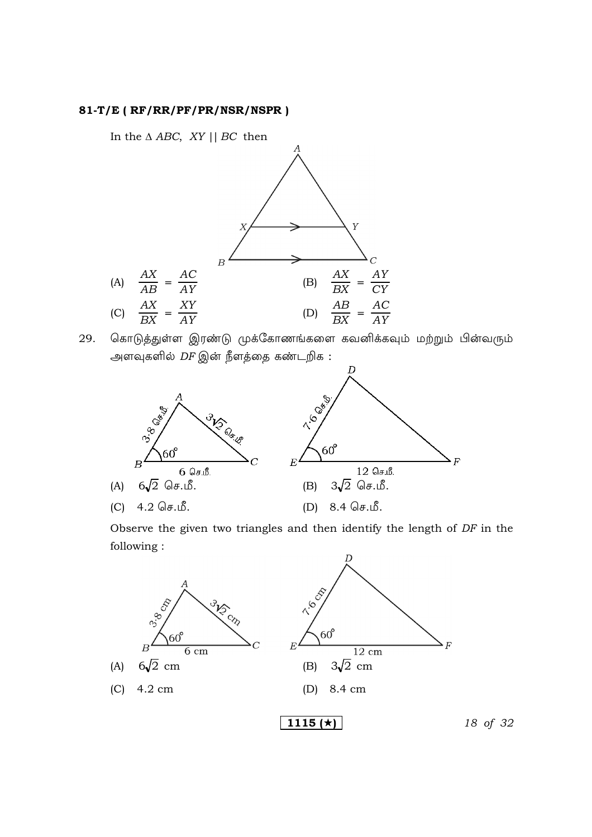In the  $\triangle$  ABC, XY || BC then



கொடுத்துள்ள இரண்டு முக்கோணங்களை கவனிக்கவும் மற்றும் பின்வரும் 29. அளவுகளில் *DF* இன் நீளத்தை கண்டறிக :



Observe the given two triangles and then identify the length of DF in the following:

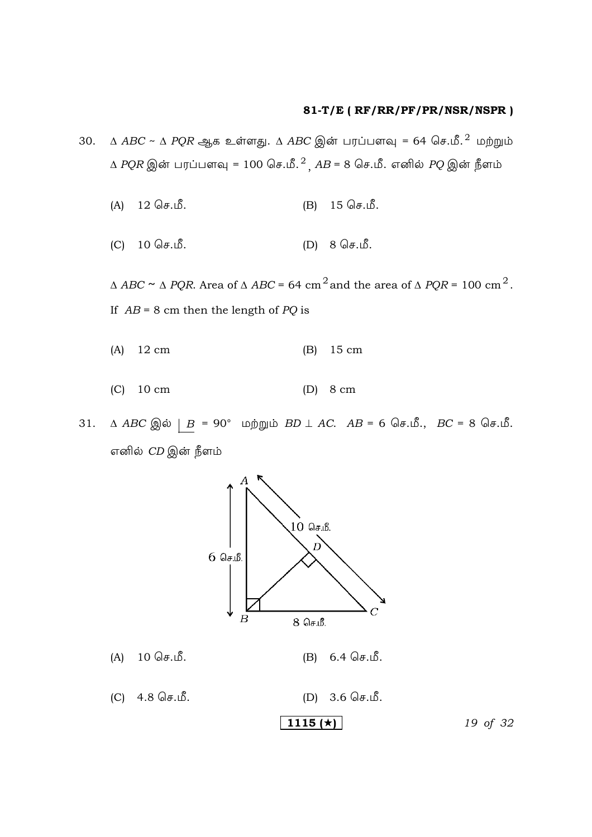- $\triangle$  ABC ~  $\triangle$  PQR ஆக உள்ளது.  $\triangle$  ABC இன் பரப்பளவு = 64 செ.மீ.<sup>2</sup> மற்றும் 30.  $\triangle$  *PQR* இன் பரப்பளவு = 100 செ.மீ.<sup>2</sup>,  $AB = 8$  செ.மீ. எனில் *PQ* இன் நீளம்
	- 15 செ.மீ.  $12$  செ.மீ.  $(A)$  $(B)$
	- $(C)$ 10 செ.மீ.  $(D) 8 \mathbb{G}$ .  $\mathbb{S}$ .

 $\Delta$  ABC  $\sim$   $\Delta$  PQR. Area of  $\Delta$  ABC = 64 cm  $^2$  and the area of  $\Delta$  PQR = 100 cm  $^2$  . If  $AB = 8$  cm then the length of PQ is

- $12 \text{ cm}$ 15 cm  $(A)$  $(B)$
- $(C)$  10 cm  $(D)$  8 cm
- $\triangle$  ABC இல்  $\angle$  B = 90° மற்றும் BD  $\perp$  AC. AB = 6 செ.மீ., BC = 8 செ.மீ.  $31.$ எனில் *CD* இன் நீளம்

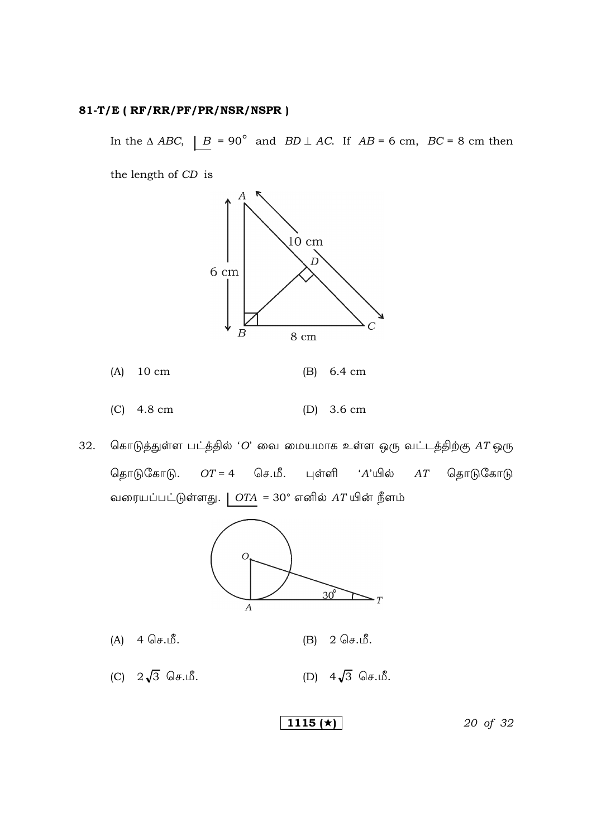In the  $\triangle ABC$ ,  $\parallel B = 90^{\circ}$  and  $BD \perp AC$ . If  $AB = 6$  cm,  $BC = 8$  cm then

the length of CD is



- $(A)$  10 cm
- $(C)$  4.8 cm (D)  $3.6 \text{ cm}$
- கொடுத்துள்ள பட்த்தில் 'O' வை மையமாக உள்ள ஒரு வட்டத்திற்கு  $AT$ ஒரு 32. தொடுகோடு. செ.மீ.  $OT = 4$ புள்ளி ் $A$ 'யில் தொடுகோடு  $AT$ வரையப்பட்டுள்ளது. |  $OTA = 30^{\circ}$  எனில்  $AT$ யின் நீளம்



- $(A) 4 \theta. \mathbb{B}$ .  $2$  செ.மீ.  $(B)$
- $(C)$   $2\sqrt{3}$   $\bigcirc$   $\sigma$ .  $\mathcal{S}$ . (D)  $4\sqrt{3}$   $\bigcirc$   $\overline{5}$ .

1115 ( $\star$ )

20 of 32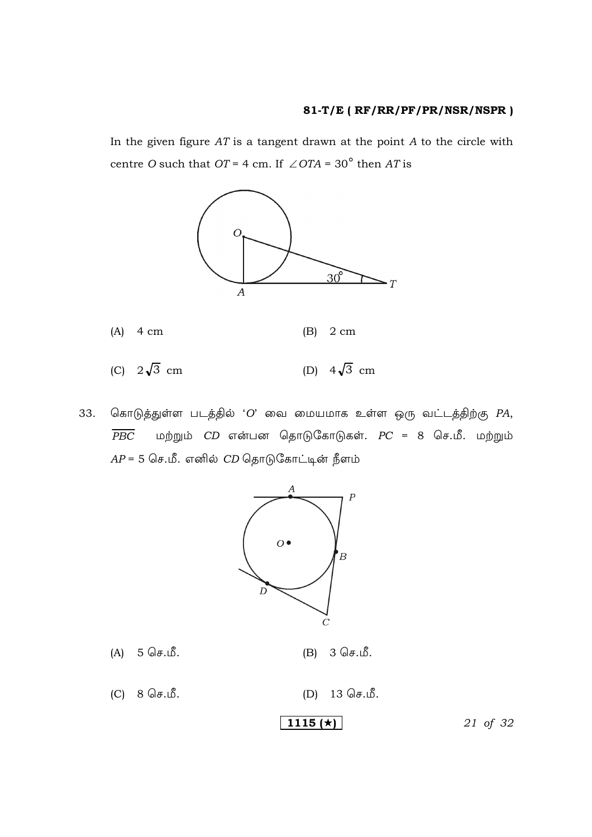In the given figure  $AT$  is a tangent drawn at the point  $A$  to the circle with centre O such that OT = 4 cm. If  $\angle$  OTA = 30<sup>°</sup> then AT is



கொடுத்துள்ள படத்தில் 'O' வை மையமாக உள்ள ஒரு வட்டத்திற்கு  $PA$ , 33.  $\overline{PBC}$ மற்றும்  $CD$  என்பன தொடுகோடுகள்.  $PC = 8$  செ.மீ. மற்றும்  $AP = 5$  செ.மீ. எனில்  $CD$  தொடுகோட்டின் நீளம்



5 செ.மீ.  $(A)$ 

3 செ.மீ.  $(B)$ 

 $(C) 8 \mathbb{G}$ .  $\mathbb{S}$ . 13 செ.மீ.  $(D)$ 

$$
1115 \left(\star\right)
$$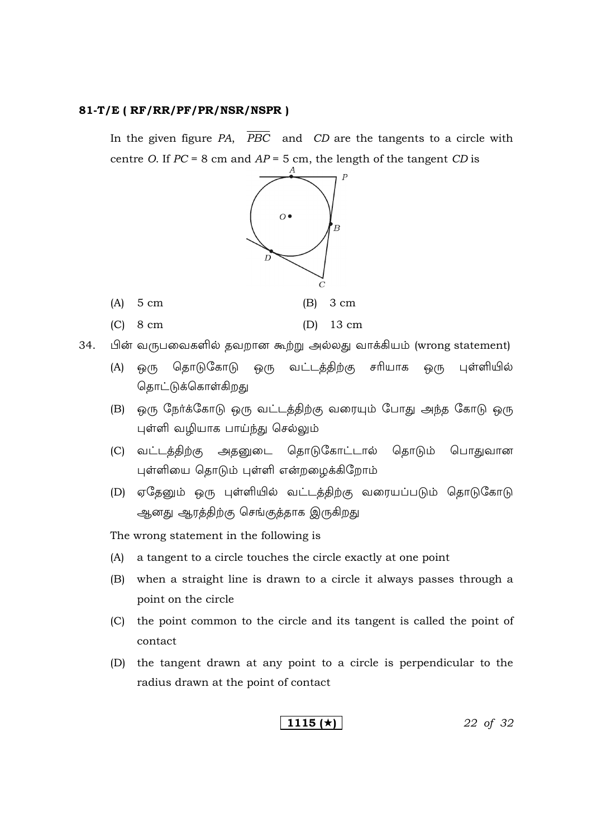$(A)$  5 cm

 $(C)$  8 cm

In the given figure  $PA$ ,  $\overline{PBC}$  and  $CD$  are the tangents to a circle with centre O. If  $PC = 8$  cm and  $AP = 5$  cm, the length of the tangent CD is



- பின் வருபவைகளில் தவறான கூற்று அல்லது வாக்கியம் (wrong statement) 34.
	- தொடுகோடு ஒரு வட்டக்கிற்கு சரியாக பள்ளியில்  $(A)$  ஒரு <u>ெ</u>(ந தொட்டுக்கொள்கிறது
	- (B) ஒரு நேர்க்கோடு ஒரு வட்டத்திற்கு வரையும் போது அந்த கோடு ஒரு புள்ளி வழியாக பாய்ந்து செல்லும்
	- (C) வட்டத்திற்கு அதனுடை தொடுகோட்டால் தொடும் பொதுவான புள்ளியை தொடும் புள்ளி என்றழைக்கிறோம்
	- (D) ஏதேனும் ஒரு புள்ளியில் வட்டத்திற்கு வரையப்படும் தொடுகோடு ஆனது ஆரத்திற்கு செங்குத்தாக இருகிறது

The wrong statement in the following is

- (A) a tangent to a circle touches the circle exactly at one point
- (B) when a straight line is drawn to a circle it always passes through a point on the circle
- (C) the point common to the circle and its tangent is called the point of contact
- (D) the tangent drawn at any point to a circle is perpendicular to the radius drawn at the point of contact

1115 ( $\star$ )

22 of 32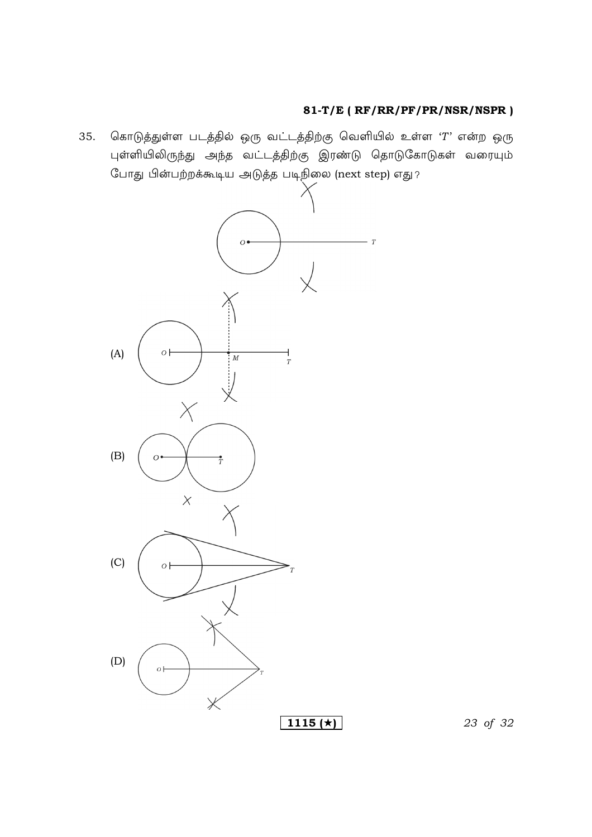கொடுத்துள்ள படத்தில் ஒரு வட்டத்திற்கு வெளியில் உள்ள 'T' என்ற ஒரு 35. புள்ளியிலிருந்து அந்த வட்டத்திற்கு இரண்டு தொடுகோடுகள் வரையும் போது பின்பற்றக்கூடிய அடுத்த படிநிலை (next step) எது ?



23 of 32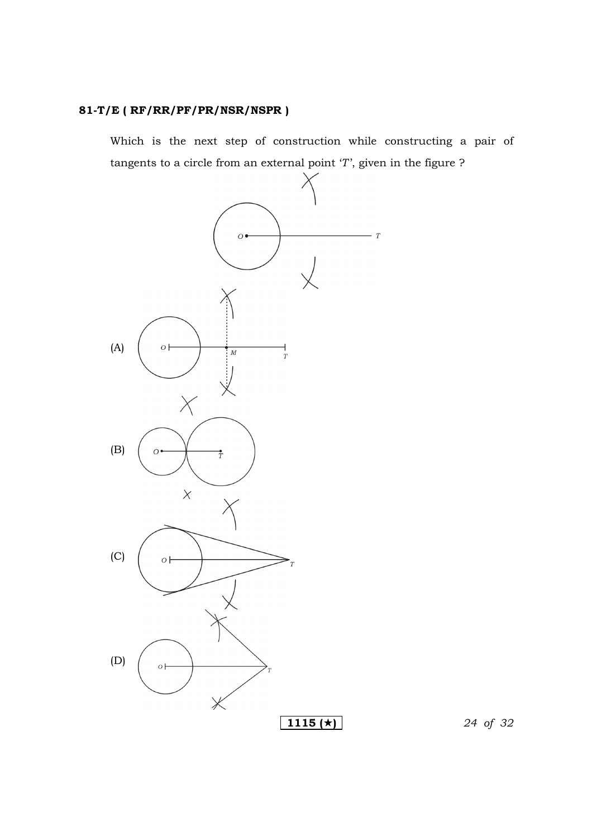Which is the next step of construction while constructing a pair of tangents to a circle from an external point '*T*', given in the figure ?

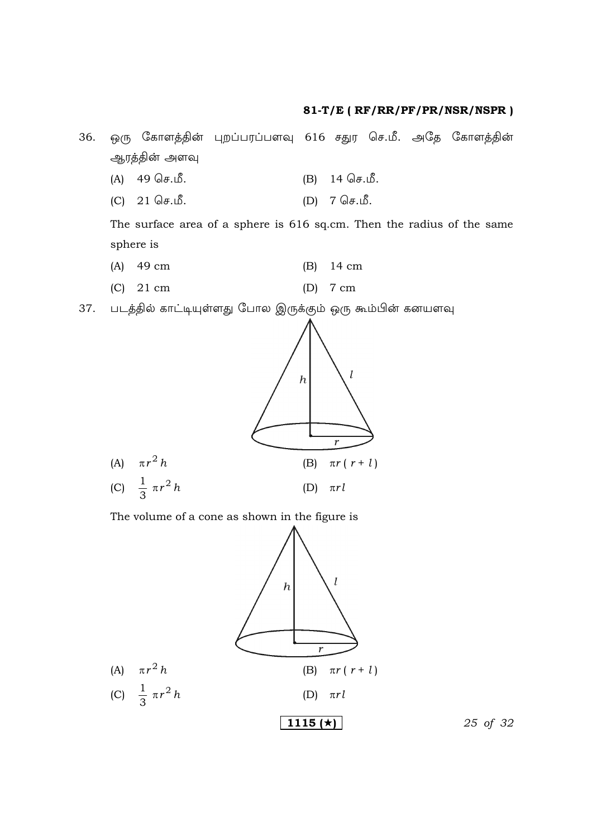ஒரு கோளத்தின் புறப்பரப்பளவு 616 சதுர செ.மீ. அதே கோளத்தின் 36. ஆரத்தின் அளவு

- (B) 14 செ.மீ.  $(A)$  49 செ.மீ.
- $(D)$  7 செ.மீ.  $(C)$  21 செ.மீ.

The surface area of a sphere is 616 sq.cm. Then the radius of the same sphere is

- $(A)$  49 cm  $(B)$  14 cm
- $(C)$  21 cm  $(D)$  7 cm
- 37. படத்தில் காட்டியுள்ளது போல இருக்கும் ஒரு கூம்பின் கனயளவு



The volume of a cone as shown in the figure is



25 of 32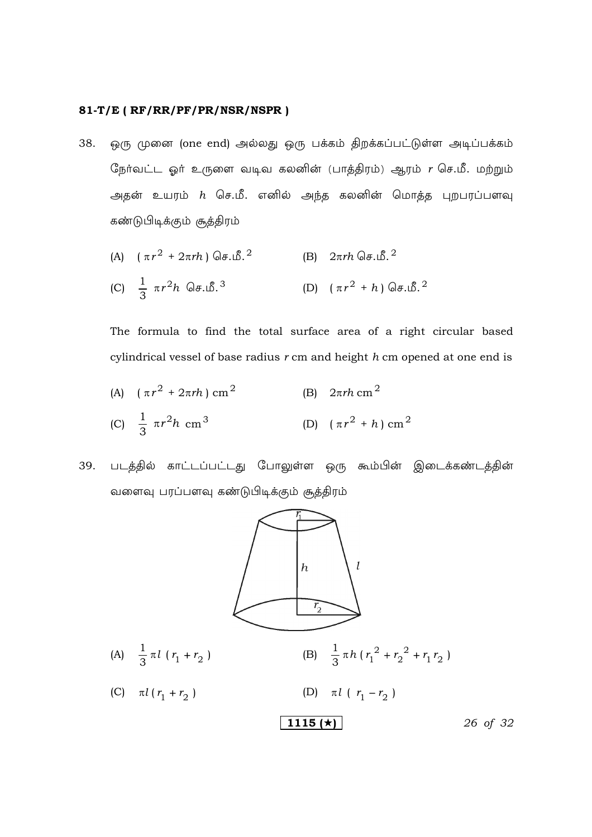ஒரு முனை (one end) அல்லது ஒரு பக்கம் திறக்கப்பட்டுள்ள அடிப்பக்கம் 38. நேர்வட்ட ஓர் உருளை வடிவ கலனின் (பாத்திரம்) ஆரம்  $r$  செ.மீ. மற்றும் அதன் உயரம்  $h$  செ.மீ. எனில் அந்த கலனின் மொத்த புறபரப்பளவு கண்டுபிடிக்கும் சூத்திரம்

(A) 
$$
(\pi r^2 + 2\pi rh) \text{ Ge.} \mathcal{B}^2
$$
  
\n(B)  $2\pi rh \text{ Ge.} \mathcal{B}^2$   
\n(C)  $\frac{1}{3} \pi r^2 h \text{ Ge.} \mathcal{B}^3$   
\n(D)  $(\pi r^2 + h) \text{ Ge.} \mathcal{B}^2$ 

The formula to find the total surface area of a right circular based cylindrical vessel of base radius  $r$  cm and height  $h$  cm opened at one end is

- (A)  $(\pi r^2 + 2\pi rh)$  cm<sup>2</sup> (B)  $2\pi rh$  cm<sup>2</sup> (C)  $\frac{1}{3} \pi r^2 h \text{ cm}^3$  (D)  $(\pi r^2 + h) \text{ cm}^2$
- படத்தில் காட்டப்பட்டது போலுள்ள ஒரு கூம்பின் இடைக்கண்டத்தின் 39. வளைவு பரப்பளவு கண்டுபிடிக்கும் சூத்திரம்

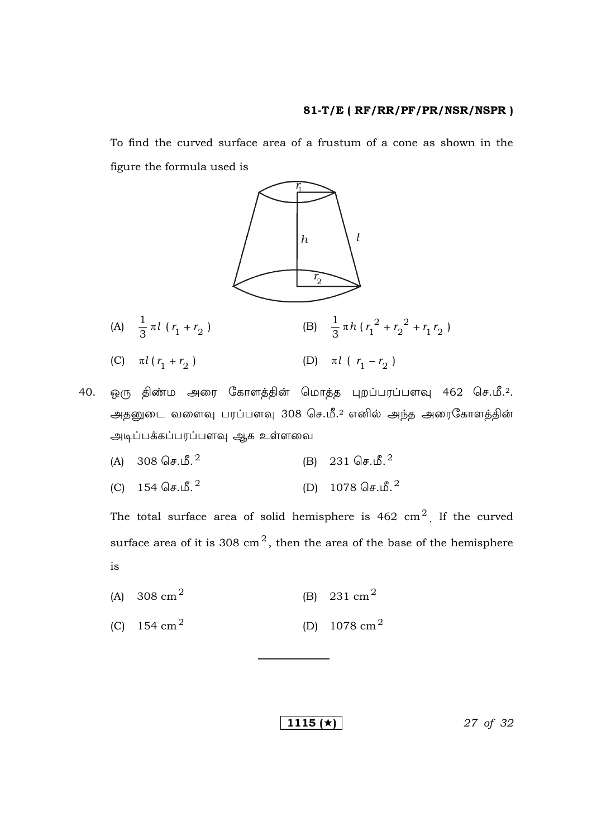To find the curved surface area of a frustum of a cone as shown in the figure the formula used is



40. ஒரு திண்ம அரை கோளத்தின் மொத்த புறப்பரப்பளவு 462 செ.மீ.2. அதனுடை வளைவு பரப்பளவு  $308$  செ.மீ. $^2$  எனில் அந்த அரைகோளத்தின் அடிப்பக்கப்பரப்பளவு ஆக உள்ளவை

- (A)  $308 \text{ Ge.}$ (B) 231  $\sqrt{3}$ .  $^{2}$
- (C)  $154 \text{ Ge.}^2$ (D)  $1078 \text{ Ge.f.}^2$

The total surface area of solid hemisphere is  $462 \text{ cm}^2$ . If the curved surface area of it is 308  $\text{cm}^2$ , then the area of the base of the hemisphere is

- (A) 308 cm<sup>2</sup> (B) 231  $\text{cm}^2$
- (C)  $154 \text{ cm}^2$ (D)  $1078 \text{ cm}^2$

**1115 (** $\star$ **)** 27 of 32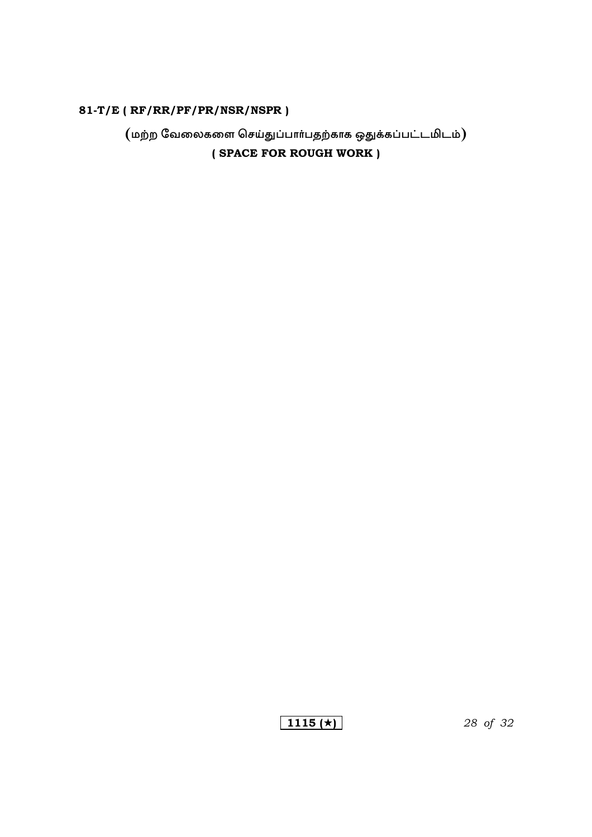$($ மற்ற வேலைகளை செய்துப்பார்பதற்காக ஒதுக்கப்பட்டமிடம் $)$ (SPACE FOR ROUGH WORK)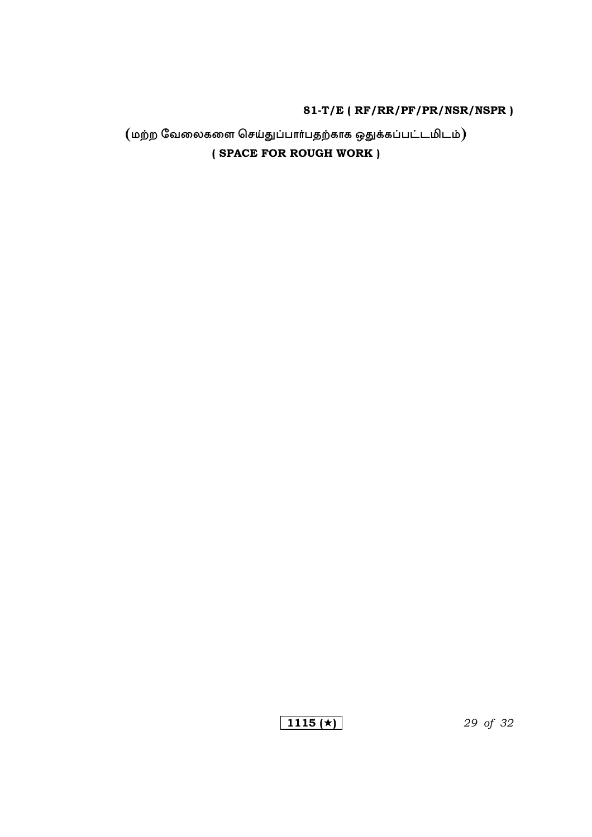# $($ மற்ற வேலைகளை செய்துப்பார்பதற்காக ஒதுக்கப்பட்டமிடம் $)$ (SPACE FOR ROUGH WORK)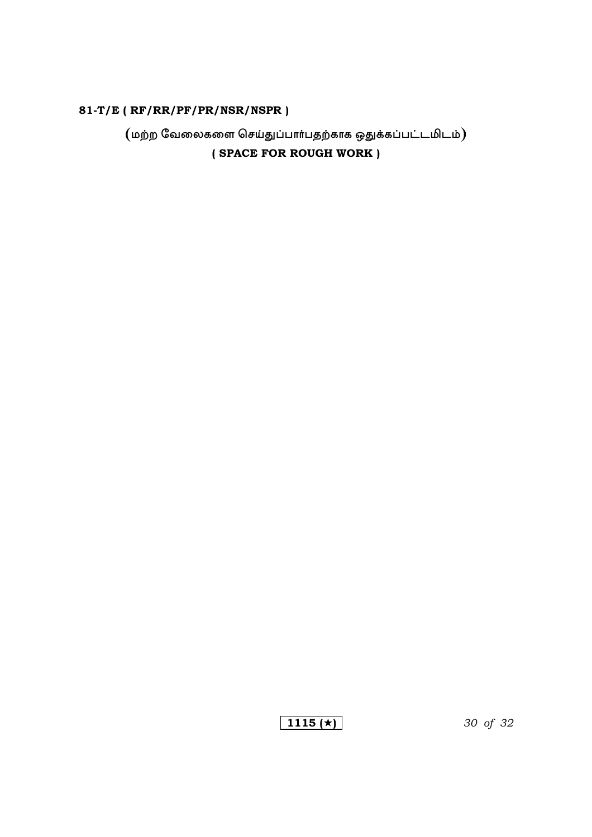$($ மற்ற வேலைகளை செய்துப்பார்பதற்காக ஒதுக்கப்பட்டமிடம் $)$ (SPACE FOR ROUGH WORK)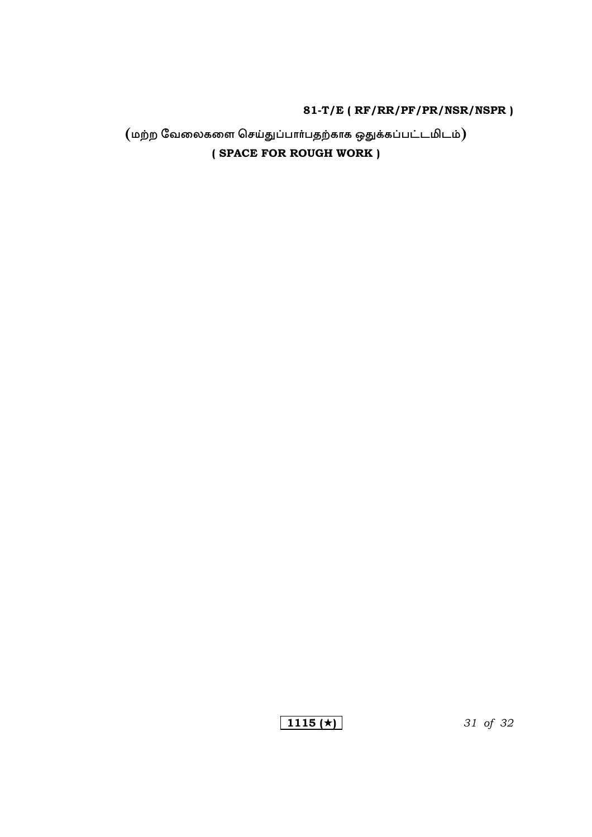# $($ மற்ற வேலைகளை செய்துப்பார்பதற்காக ஒதுக்கப்பட்டமிடம் $)$ (SPACE FOR ROUGH WORK)